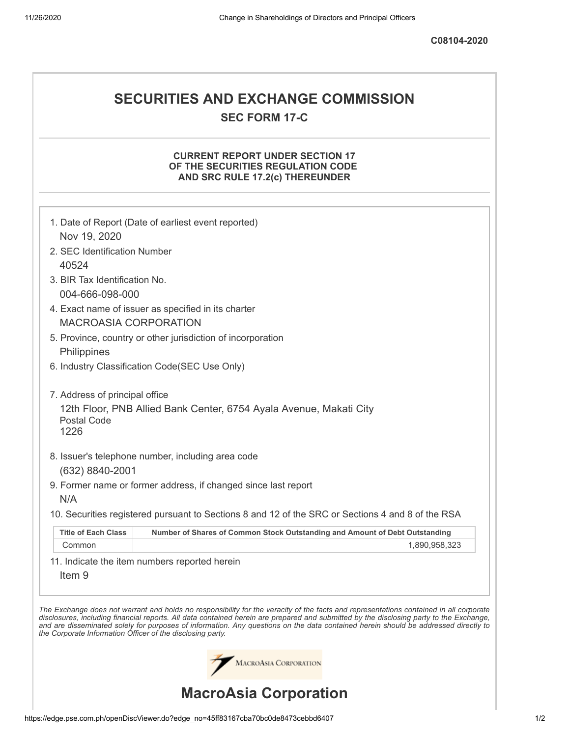# **SECURITIES AND EXCHANGE COMMISSION SEC FORM 17-C**

## **CURRENT REPORT UNDER SECTION 17 OF THE SECURITIES REGULATION CODE AND SRC RULE 17.2(c) THEREUNDER**

|                                                            | 1. Date of Report (Date of earliest event reported)                                                                                                                                                                                                                                                                                                                                                                      |
|------------------------------------------------------------|--------------------------------------------------------------------------------------------------------------------------------------------------------------------------------------------------------------------------------------------------------------------------------------------------------------------------------------------------------------------------------------------------------------------------|
| Nov 19, 2020                                               |                                                                                                                                                                                                                                                                                                                                                                                                                          |
| 2. SEC Identification Number                               |                                                                                                                                                                                                                                                                                                                                                                                                                          |
| 40524                                                      |                                                                                                                                                                                                                                                                                                                                                                                                                          |
| 3. BIR Tax Identification No.<br>004-666-098-000           |                                                                                                                                                                                                                                                                                                                                                                                                                          |
|                                                            | 4. Exact name of issuer as specified in its charter                                                                                                                                                                                                                                                                                                                                                                      |
| <b>MACROASIA CORPORATION</b>                               |                                                                                                                                                                                                                                                                                                                                                                                                                          |
|                                                            | 5. Province, country or other jurisdiction of incorporation                                                                                                                                                                                                                                                                                                                                                              |
| Philippines                                                |                                                                                                                                                                                                                                                                                                                                                                                                                          |
|                                                            | 6. Industry Classification Code(SEC Use Only)                                                                                                                                                                                                                                                                                                                                                                            |
| 7. Address of principal office                             |                                                                                                                                                                                                                                                                                                                                                                                                                          |
| Postal Code<br>1226                                        | 12th Floor, PNB Allied Bank Center, 6754 Ayala Avenue, Makati City                                                                                                                                                                                                                                                                                                                                                       |
|                                                            | 8. Issuer's telephone number, including area code                                                                                                                                                                                                                                                                                                                                                                        |
| (632) 8840-2001                                            |                                                                                                                                                                                                                                                                                                                                                                                                                          |
|                                                            | 9. Former name or former address, if changed since last report                                                                                                                                                                                                                                                                                                                                                           |
| N/A                                                        |                                                                                                                                                                                                                                                                                                                                                                                                                          |
|                                                            | 10. Securities registered pursuant to Sections 8 and 12 of the SRC or Sections 4 and 8 of the RSA                                                                                                                                                                                                                                                                                                                        |
| <b>Title of Each Class</b>                                 | Number of Shares of Common Stock Outstanding and Amount of Debt Outstanding                                                                                                                                                                                                                                                                                                                                              |
| Common                                                     | 1,890,958,323                                                                                                                                                                                                                                                                                                                                                                                                            |
|                                                            | 11. Indicate the item numbers reported herein                                                                                                                                                                                                                                                                                                                                                                            |
| Item <sub>9</sub>                                          |                                                                                                                                                                                                                                                                                                                                                                                                                          |
| the Corporate Information Officer of the disclosing party. | The Exchange does not warrant and holds no responsibility for the veracity of the facts and representations contained in all corporate<br>disclosures, including financial reports. All data contained herein are prepared and submitted by the disclosing party to the Exchange,<br>and are disseminated solely for purposes of information. Any questions on the data contained herein should be addressed directly to |
|                                                            | <b>MACROASIA CORPORATION</b>                                                                                                                                                                                                                                                                                                                                                                                             |
|                                                            | <b>MacroAsia Corporation</b>                                                                                                                                                                                                                                                                                                                                                                                             |

https://edge.pse.com.ph/openDiscViewer.do?edge\_no=45ff83167cba70bc0de8473cebbd6407 1/2